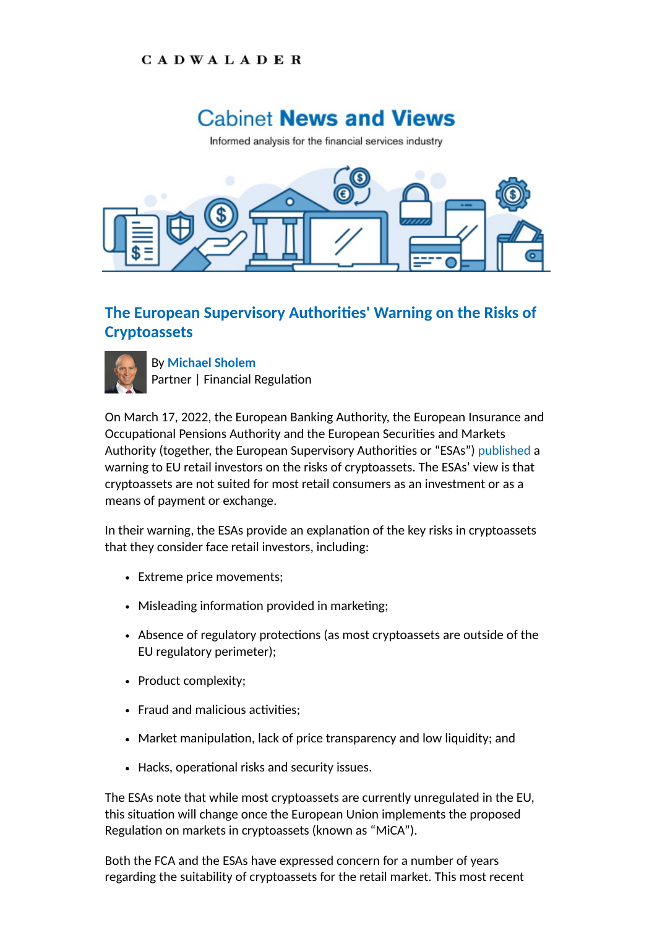## **CADWALADER**

## **Cabinet News and Views**

Informed analysis for the financial services industry



## **The European Supervisory Authorities' Warning on the Risks of Cryptoassets**



By **[Michael Sholem](https://www.cadwalader.com/professionals/michael-sholem)** Partner | Financial Regulation

On March 17, 2022, the European Banking Authority, the European Insurance and Occupational Pensions Authority and the European Securities and Markets Authority (together, the European Supervisory Authorities or "ESAs") [published](https://www.esma.europa.eu/sites/default/files/library/esa_2022_15_joint_esas_warning_on_crypto-assets.pdf) a warning to EU retail investors on the risks of cryptoassets. The ESAs' view is that cryptoassets are not suited for most retail consumers as an investment or as a means of payment or exchange.

In their warning, the ESAs provide an explanation of the key risks in cryptoassets that they consider face retail investors, including:

- Extreme price movements;
- Misleading information provided in marketing;
- Absence of regulatory protections (as most cryptoassets are outside of the EU regulatory perimeter);
- Product complexity;
- Fraud and malicious activities;
- Market manipulation, lack of price transparency and low liquidity; and
- Hacks, operational risks and security issues.

The ESAs note that while most cryptoassets are currently unregulated in the EU, this situation will change once the European Union implements the proposed Regulation on markets in cryptoassets (known as "MiCA").

Both the FCA and the ESAs have expressed concern for a number of years regarding the suitability of cryptoassets for the retail market. This most recent